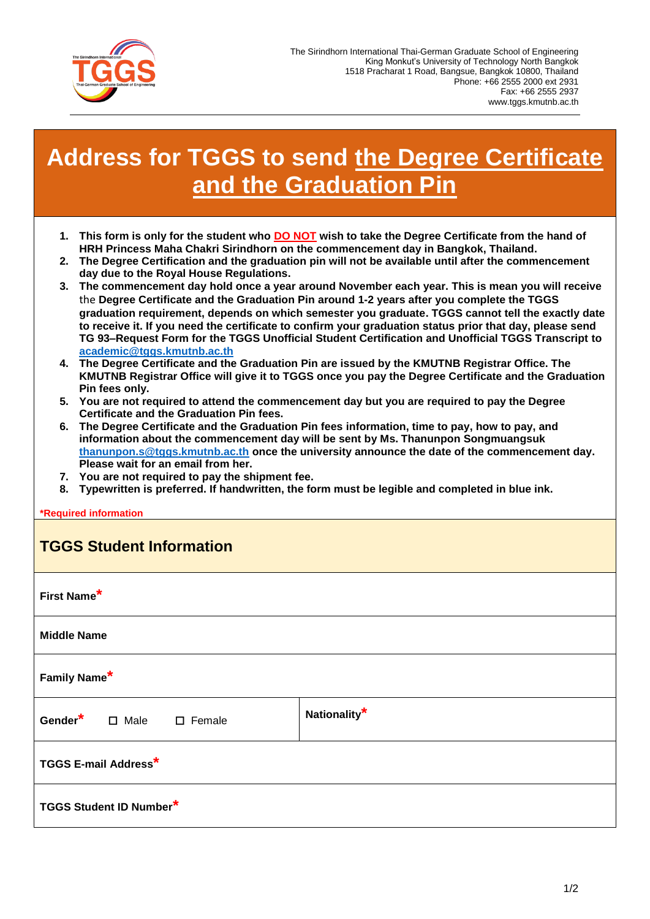

## **Address for TGGS to send the Degree Certificate and the Graduation Pin**

- **1. This form is only for the student who DO NOT wish to take the Degree Certificate from the hand of HRH Princess Maha Chakri Sirindhorn on the commencement day in Bangkok, Thailand.**
- **2. The Degree Certification and the graduation pin will not be available until after the commencement day due to the Royal House Regulations.**
- **3. The commencement day hold once a year around November each year. This is mean you will receive**  the **Degree Certificate and the Graduation Pin around 1-2 years after you complete the TGGS graduation requirement, depends on which semester you graduate. TGGS cannot tell the exactly date to receive it. If you need the certificate to confirm your graduation status prior that day, please send TG 93–Request Form for the TGGS Unofficial Student Certification and Unofficial TGGS Transcript to [academic@tggs.kmutnb.ac.th](mailto:academic@tggs.kmutnb.ac.th)**
- **4. The Degree Certificate and the Graduation Pin are issued by the KMUTNB Registrar Office. The KMUTNB Registrar Office will give it to TGGS once you pay the Degree Certificate and the Graduation Pin fees only.**
- **5. You are not required to attend the commencement day but you are required to pay the Degree Certificate and the Graduation Pin fees.**
- **6. The Degree Certificate and the Graduation Pin fees information, time to pay, how to pay, and information about the commencement day will be sent by Ms. Thanunpon Songmuangsuk [thanunpon.s@tggs.kmutnb.ac.th](mailto:thanunpon.s@tggs.kmutnb.ac.th) once the university announce the date of the commencement day. Please wait for an email from her.**
- **7. You are not required to pay the shipment fee.**
- **8. Typewritten is preferred. If handwritten, the form must be legible and completed in blue ink.**

**guired information** 

| <b>TGGS Student Information</b>     |                          |
|-------------------------------------|--------------------------|
| First Name*                         |                          |
| <b>Middle Name</b>                  |                          |
| Family Name*                        |                          |
| Gender <sup>*</sup> □ Male □ Female | Nationality <sup>*</sup> |
| <b>TGGS E-mail Address*</b>         |                          |
| <b>TGGS Student ID Number*</b>      |                          |